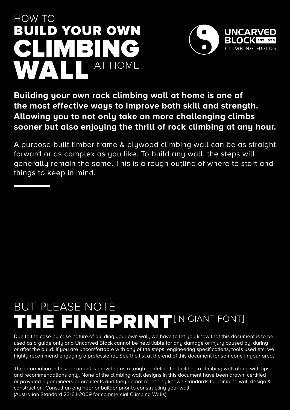



**Building your own rock climbing wall at home is one of the most effective ways to improve both skill and strength. Allowing you to not only take on more challenging climbs sooner but also enjoying the thrill of rock climbing at any hour.** 

A purpose-built timber frame & plywood climbing wall can be as straight forward or as complex as you like. To build any wall, the steps will generally remain the same. This is a rough outline of where to start and things to keep in mind.

# THE FINEPRINT<sup>[IN GIANT FONT]</sup> BUT PLEASE NOTE

Due to the case by case nature of building your own wall, we have to let you know that this document is to be used as a guide only and Uncarved Block cannot be held liable for any damage or injury caused by, during or after the build. If you are uncomfortable with any of the steps, engineering specifications, tools used etc, we highly recommend engaging a professional. See the list at the end of this document for someone in your area.

The information in this document is provided as a rough guideline for building a climbing wall along with tips and recommendations only. None of the climbing wall designs in this document have been drawn, certified or provided by engineers or architects and they do not meet any known standards for climbing wall design & construction. Consult an engineer or builder prior to constructing your wall. (Australian Standard 2316.1-2009 for commercial Climbing Walls)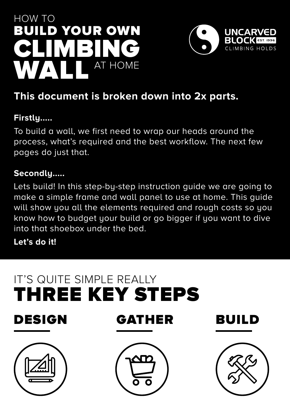



# **This document is broken down into 2x parts.**

### **Firstly.....**

To build a wall, we first need to wrap our heads around the process, what's required and the best workflow. The next few pages do just that.

## **Secondly.....**

Lets build! In this step-by-step instruction guide we are going to make a simple frame and wall panel to use at home. This guide will show you all the elements required and rough costs so you know how to budget your build or go bigger if you want to dive into that shoebox under the bed.

### **Let's do it!**

# THREE KEY STEPS IT'S QUITE SIMPLE REALLY











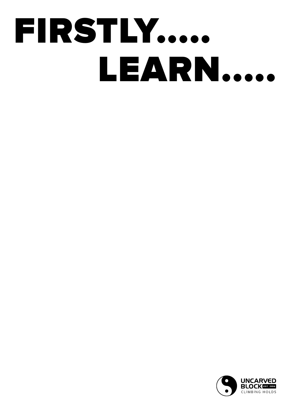# FIRSTLY..... LEARN.....

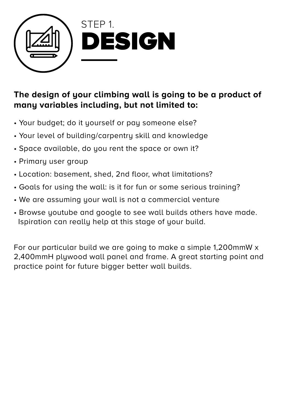

### **The design of your climbing wall is going to be a product of many variables including, but not limited to:**

- Your budget; do it yourself or pay someone else?
- Your level of building/carpentry skill and knowledge
- Space available, do you rent the space or own it?
- Primary user group
- Location: basement, shed, 2nd floor, what limitations?
- Goals for using the wall: is it for fun or some serious training?
- We are assuming your wall is not a commercial venture
- Browse youtube and google to see wall builds others have made. Ispiration can really help at this stage of your build.

For our particular build we are going to make a simple 1,200mmW x 2,400mmH plywood wall panel and frame. A great starting point and practice point for future bigger better wall builds.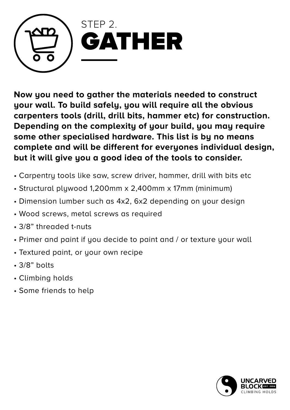

**Now you need to gather the materials needed to construct your wall. To build safely, you will require all the obvious carpenters tools (drill, drill bits, hammer etc) for construction. Depending on the complexity of your build, you may require some other specialised hardware. This list is by no means complete and will be different for everyones individual design, but it will give you a good idea of the tools to consider.**

- Carpentry tools like saw, screw driver, hammer, drill with bits etc
- Structural plywood 1,200mm x 2,400mm x 17mm (minimum)
- Dimension lumber such as 4x2, 6x2 depending on your design
- Wood screws, metal screws as required
- 3/8" threaded t-nuts
- Primer and paint if you decide to paint and / or texture your wall
- Textured paint, or your own recipe
- 3/8" bolts
- Climbing holds
- Some friends to help

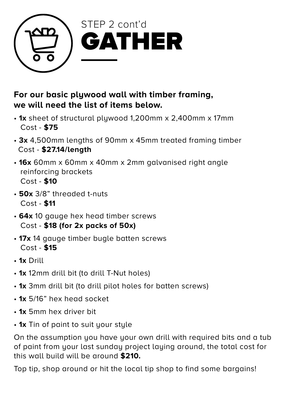

**For our basic plywood wall with timber framing, we will need the list of items below.**

- **1x** sheet of structural plywood 1,200mm x 2,400mm x 17mm Cost - **\$75**
- **3x** 4,500mm lengths of 90mm x 45mm treated framing timber Cost - **\$27.14/length**
- **16x** 60mm x 60mm x 40mm x 2mm galvanised right angle reinforcing brackets Cost - **\$10**
- **50x** 3/8" threaded t-nuts Cost - **\$11**
- **64x** 10 gauge hex head timber screws Cost - **\$18 (for 2x packs of 50x)**
- **17x** 14 gauge timber bugle batten screws Cost - **\$15**
- **1x** Drill
- **1x** 12mm drill bit (to drill T-Nut holes)
- **1x** 3mm drill bit (to drill pilot holes for batten screws)
- **1x** 5/16" hex head socket
- **1x** 5mm hex driver bit
- **1x** Tin of paint to suit your style

On the assumption you have your own drill with required bits and a tub of paint from your last sunday project laying around, the total cost for this wall build will be around **\$210.** 

Top tip, shop around or hit the local tip shop to find some bargains!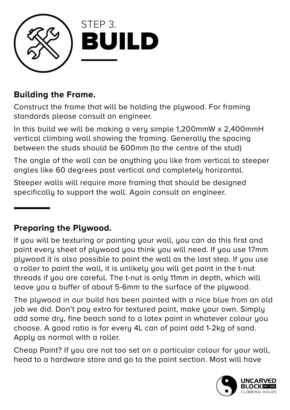

### **Building the Frame.**

Construct the frame that will be holding the plywood. For framing standards please consult an engineer.

In this build we will be making a very simple 1,200mmW x 2,400mmH vertical climbing wall showing the framing. Generally the spacing between the studs should be 600mm (to the centre of the stud)

The angle of the wall can be anything you like from vertical to steeper angles like 60 degrees past vertical and completely horizontal.

Steeper walls will require more framing that should be designed specifically to support the wall. Again consult an engineer.

### **Preparing the Plywood.**

If you will be texturing or painting your wall, you can do this first and paint every sheet of plywood you think you will need. If you use 17mm plywood it is also possible to paint the wall as the last step. If you use a roller to paint the wall, it is unlikely you will get paint in the t-nut threads if you are careful. The t-nut is only 11mm in depth, which will leave you a buffer of about 5-6mm to the surface of the plywood.

The plywood in our build has been painted with a nice blue from an old job we did. Don't pay extra for textured paint, make your own. Simply add some dry, fine beach sand to a latex paint in whatever colour you choose. A good ratio is for every 4L can of paint add 1-2kg of sand. Apply as normal with a roller.

Cheap Paint? If you are not too set on a particular colour for your wall, head to a hardware store and go to the paint section. Most will have

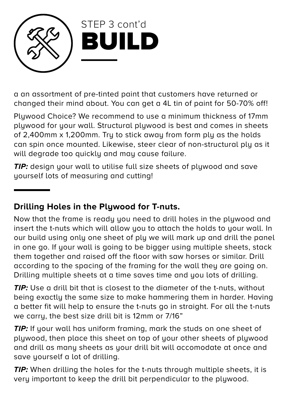

a an assortment of pre-tinted paint that customers have returned or changed their mind about. You can get a 4L tin of paint for 50-70% off!

Plywood Choice? We recommend to use a minimum thickness of 17mm plywood for your wall. Structural plywood is best and comes in sheets of 2,400mm x 1,200mm. Try to stick away from form ply as the holds can spin once mounted. Likewise, steer clear of non-structural ply as it will degrade too quickly and may cause failure.

**TIP:** design your wall to utilise full size sheets of plywood and save yourself lots of measuring and cutting!

### **Drilling Holes in the Plywood for T-nuts.**

Now that the frame is ready you need to drill holes in the plywood and insert the t-nuts which will allow you to attach the holds to your wall. In our build using only one sheet of ply we will mark up and drill the panel in one go. If your wall is going to be bigger using multiple sheets, stack them together and raised off the floor with saw horses or similar. Drill according to the spacing of the framing for the wall they are going on. Drilling multiple sheets at a time saves time and you lots of drilling.

**TIP:** Use a drill bit that is closest to the diameter of the t-nuts, without being exactly the same size to make hammering them in harder. Having a better fit will help to ensure the t-nuts go in straight. For all the t-nuts we carry, the best size drill bit is 12mm or 7/16"

**TIP:** If your wall has uniform framing, mark the studs on one sheet of plywood, then place this sheet on top of your other sheets of plywood and drill as many sheets as your drill bit will accomodate at once and save yourself a lot of drilling.

**TIP:** When drilling the holes for the t-nuts through multiple sheets, it is very important to keep the drill bit perpendicular to the plywood.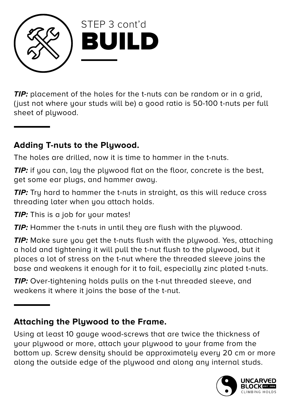

**TIP:** placement of the holes for the t-nuts can be random or in a grid, ( just not where your studs will be) a good ratio is 50-100 t-nuts per full sheet of plywood.

### **Adding T-nuts to the Plywood.**

The holes are drilled, now it is time to hammer in the t-nuts.

**TIP:** if you can, lay the plywood flat on the floor, concrete is the best, get some ear plugs, and hammer away.

**TIP:** Try hard to hammer the t-nuts in straight, as this will reduce cross threading later when you attach holds.

**TIP:** This is a job for your mates!

**TIP:** Hammer the t-nuts in until they are flush with the plywood.

**TIP:** Make sure you get the t-nuts flush with the plywood. Yes, attaching a hold and tightening it will pull the t-nut flush to the plywood, but it places a lot of stress on the t-nut where the threaded sleeve joins the base and weakens it enough for it to fail, especially zinc plated t-nuts.

**TIP:** Over-tightening holds pulls on the t-nut threaded sleeve, and weakens it where it joins the base of the t-nut.

### **Attaching the Plywood to the Frame.**

Using at least 10 gauge wood-screws that are twice the thickness of your plywood or more, attach your plywood to your frame from the bottom up. Screw density should be approximately every 20 cm or more along the outside edge of the plywood and along any internal studs.

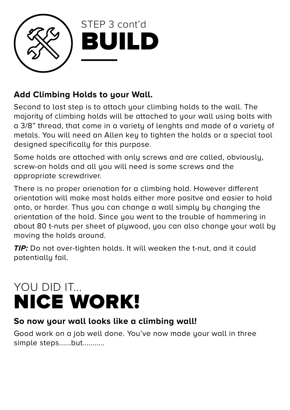

## **Add Climbing Holds to your Wall.**

Second to last step is to attach your climbing holds to the wall. The majority of climbing holds will be attached to your wall using bolts with a 3/8" thread, that come in a variety of lenghts and made of a variety of metals. You will need an Allen key to tighten the holds or a special tool designed specifically for this purpose.

Some holds are attached with only screws and are called, obviously, screw-on holds and all you will need is some screws and the appropriate screwdriver.

There is no proper orienation for a climbing hold. However different orientation will make most holds either more positve and easier to hold onto, or harder. Thus you can change a wall simply by changing the orientation of the hold. Since you went to the trouble of hammering in about 80 t-nuts per sheet of plywood, you can also change your wall by moving the holds around.

**TIP:** Do not over-tighten holds. It will weaken the t-nut, and it could potentially fail.

# NICE WORK! YOU DID IT...

### **So now your wall looks like a climbing wall!**

Good work on a job well done. You've now made your wall in three simple steps......but...........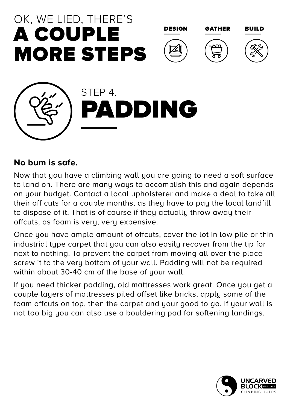

### **No bum is safe.**

Now that you have a climbing wall you are going to need a soft surface to land on. There are many ways to accomplish this and again depends on your budget. Contact a local upholsterer and make a deal to take all their off cuts for a couple months, as they have to pay the local landfill to dispose of it. That is of course if they actually throw away their offcuts, as foam is very, very expensive.

Once you have ample amount of offcuts, cover the lot in low pile or thin industrial type carpet that you can also easily recover from the tip for next to nothing. To prevent the carpet from moving all over the place screw it to the very bottom of your wall. Padding will not be required within about 30-40 cm of the base of your wall.

If you need thicker padding, old mattresses work great. Once you get a couple layers of mattresses piled offset like bricks, apply some of the foam offcuts on top, then the carpet and your good to go. If your wall is not too big you can also use a bouldering pad for softening landings.

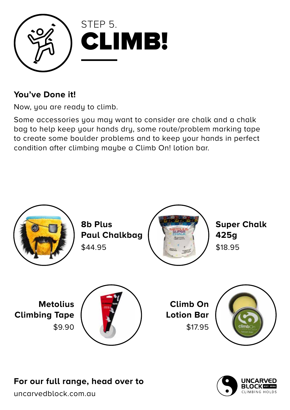

### **You've Done it!**

Now, you are ready to climb.

Some accessories you may want to consider are chalk and a chalk bag to help keep your hands dry, some route/problem marking tape to create some boulder problems and to keep your hands in perfect condition after climbing maybe a Climb On! lotion bar.



CLIMBING HOLDS

## **For our full range, head over to**

uncarvedblock.com.au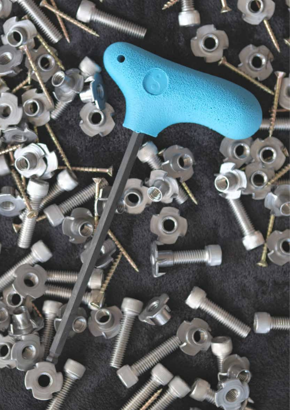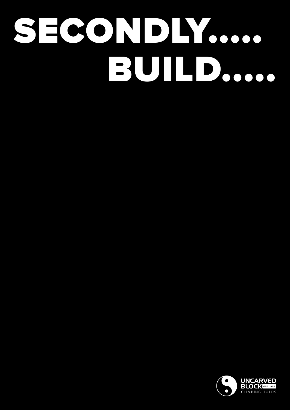# SECONDIY 60000 BUILD....

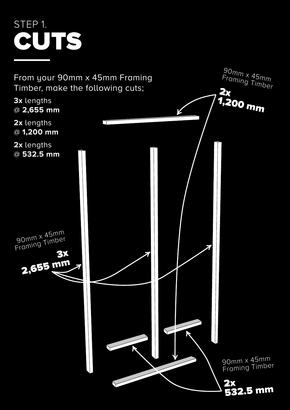

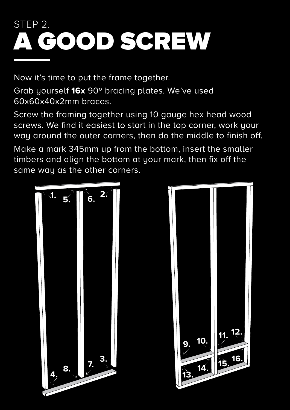# STEP 2. COOD SCREW

Now it's time to put the frame together.

Grab yourself **16x** 90º bracing plates. We've used 60x60x40x2mm braces.

Screw the framing together using 10 gauge hex head wood screws. We find it easiest to start in the top corner, work your way around the outer corners, then do the middle to finish off.

Make a mark 345mm up from the bottom, insert the smaller timbers and align the bottom at your mark, then fix off the same way as the other corners.



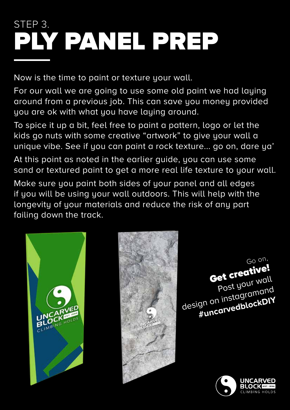# STEP 3. PLY PANEL PREP

Now is the time to paint or texture your wall.

For our wall we are going to use some old paint we had laying around from a previous job. This can save you money provided you are ok with what you have laying around.

To spice it up a bit, feel free to paint a pattern, logo or let the kids go nuts with some creative "artwork" to give your wall a unique vibe. See if you can paint a rock texture... go on, dare ya'

At this point as noted in the earlier guide, you can use some sand or textured paint to get a more real life texture to your wall.

Make sure you paint both sides of your panel and all edges if you will be using your wall outdoors. This will help with the longevity of your materials and reduce the risk of any part failing down the track.





Go on, Get creative! Post your wall design on instagramand **#uncarvedblockDIY**

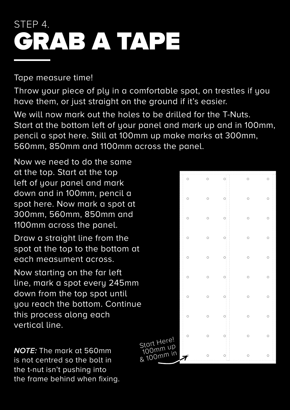# STEP 4. GRAB A TAPE

Tape measure time!

Throw your piece of ply in a comfortable spot, on trestles if you have them, or just straight on the ground if it's easier.

We will now mark out the holes to be drilled for the T-Nuts. Start at the bottom left of your panel and mark up and in 100mm, pencil a spot here. Still at 100mm up make marks at 300mm, 560mm, 850mm and 1100mm across the panel.

> Start He 100mm & 100mm

Now we need to do the same at the top. Start at the top left of your panel and mark down and in 100mm, pencil a spot here. Now mark a spot at 300mm, 560mm, 850mm and 1100mm across the panel.

Draw a straight line from the spot at the top to the bottom at each measument across.

Now starting on the far left line, mark a spot every 245mm down from the top spot until you reach the bottom. Continue this process along each vertical line.

**NOTE:** The mark at 560mm is not centred so the bolt in the t-nut isn't pushing into the frame behind when fixing.

| up<br>n in | re!        |         |            |         |         |         |         |         |         |
|------------|------------|---------|------------|---------|---------|---------|---------|---------|---------|
|            | $\circ$    | $\circ$ | $\circ$    | $\circ$ | $\circ$ | $\circ$ | $\circ$ | $\circ$ | $\circ$ |
| $\circ$    | $\circ$    | $\circ$ | $\circ$    | $\circ$ | $\circ$ | $\circ$ | $\circ$ | $\circ$ | $\circ$ |
| $\circ$    | $\bigcirc$ | $\circ$ | $\bigcirc$ | $\circ$ | $\circ$ | $\circ$ | $\circ$ | $\circ$ | $\circ$ |
| $\circ$    | $\circ$    | $\circ$ | $\circ$    | $\circ$ | $\circ$ | $\circ$ | $\circ$ | $\circ$ | $\circ$ |
| $\circ$    | $\circ$    | $\circ$ | $\circ$    | $\circ$ | $\circ$ | $\circ$ | $\circ$ | $\circ$ | $\circ$ |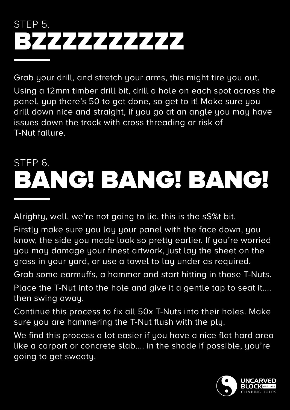# STEP 5. 74444444

Grab your drill, and stretch your arms, this might tire you out.

Using a 12mm timber drill bit, drill a hole on each spot across the panel, yup there's 50 to get done, so get to it! Make sure you drill down nice and straight, if you go at an angle you may have issues down the track with cross threading or risk of T-Nut failure.

# STEP 6. BANG! BANG! BANG!

Alrighty, well, we're not going to lie, this is the s\$%t bit.

Firstly make sure you lay your panel with the face down, you know, the side you made look so pretty earlier. If you're worried you may damage your finest artwork, just lay the sheet on the grass in your yard, or use a towel to lay under as required.

Grab some earmuffs, a hammer and start hitting in those T-Nuts.

Place the T-Nut into the hole and give it a gentle tap to seat it.... then swing away.

Continue this process to fix all 50x T-Nuts into their holes. Make sure you are hammering the T-Nut flush with the ply.

We find this process a lot easier if you have a nice flat hard area like a carport or concrete slab.... in the shade if possible, you're going to get sweaty.

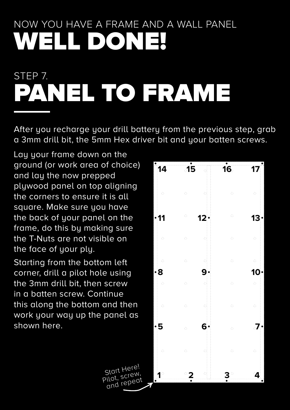# NOW YOU HAVE A FRAME AND A WALL PANEL WELL DONE!

# STEP 7. PANEL TO FRAME

Start Here!

After you recharge your drill battery from the previous step, grab a 3mm drill bit, the 5mm Hex driver bit and your batten screws.

Lay your frame down on the ground (or work area of choice) and lay the now prepped plywood panel on top aligning the corners to ensure it is all square. Make sure you have the back of your panel on the frame, do this by making sure the T-Nuts are not visible on the face of your ply.

Starting from the bottom left corner, drill a pilot hole using the 3mm drill bit, then screw in a batten screw. Continue this along the bottom and then work your way up the panel as shown here.

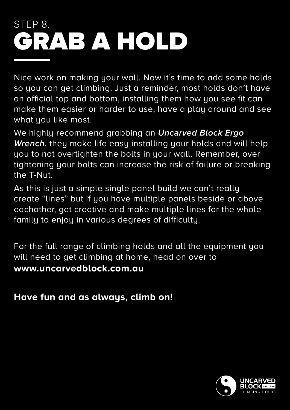# STEP 8. GRAB A HOLD

Nice work on making your wall. Now it's time to add some holds so you can get climbing. Just a reminder, most holds don't have an official top and bottom, installing them how you see fit can make them easier or harder to use, have a play around and see what you like most.

We highly recommend grabbing an **Uncarved Block Ergo Wrench**, they make life easy installing your holds and will help you to not overtighten the bolts in your wall. Remember, over tightening your bolts can increase the risk of failure or breaking the T-Nut.

As this is just a simple single panel build we can't really create "lines" but if you have multiple panels beside or above eachother, get creative and make multiple lines for the whole family to enjoy in various degrees of difficulty.

For the full range of climbing holds and all the equipment you will need to get climbing at home, head on over to **www.uncarvedblock.com.au**

**Have fun and as always, climb on!**